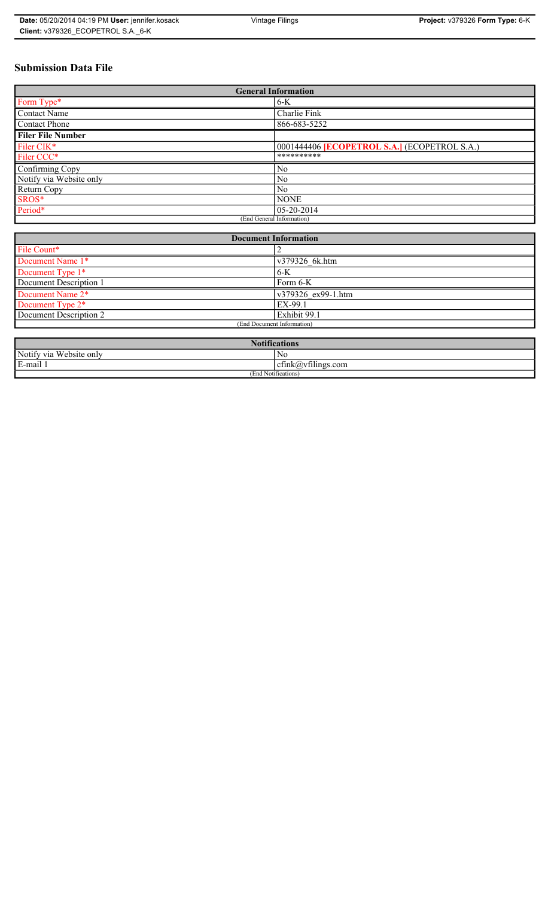# **Submission Data File**

| <b>General Information</b> |                                                     |
|----------------------------|-----------------------------------------------------|
| Form Type*                 | $6-K$                                               |
| Contact Name               | Charlie Fink                                        |
| <b>Contact Phone</b>       | 866-683-5252                                        |
| <b>Filer File Number</b>   |                                                     |
| Filer CIK*                 | 0001444406 <b>[ECOPETROL S.A.]</b> (ECOPETROL S.A.) |
| Filer CCC*                 | **********                                          |
| Confirming Copy            | N <sub>0</sub>                                      |
| Notify via Website only    | N <sub>0</sub>                                      |
| Return Copy                | N <sub>0</sub>                                      |
| SROS*                      | <b>NONE</b>                                         |
| Period*                    | $ 05 - 20 - 2014 $                                  |
| (End General Information)  |                                                     |

| <b>Document Information</b>  |                    |
|------------------------------|--------------------|
| File Count*                  |                    |
| Document Name 1*             | v379326 6k.htm     |
| Document Type 1*             | $6-K$              |
| Document Description 1       | Form 6-K           |
| Document Name 2*             | v379326 ex99-1.htm |
| Document Type 2 <sup>*</sup> | EX-99.1            |
| Document Description 2       | Exhibit 99.1       |
| (End Document Information)   |                    |
|                              |                    |

| <b>Notifications</b>         |                                   |  |
|------------------------------|-----------------------------------|--|
| Notify via<br>u Website only | N0                                |  |
| E-mail 1                     | $\sim$ 1.<br>ctink(a)vtilings.com |  |
| (End Notifications)          |                                   |  |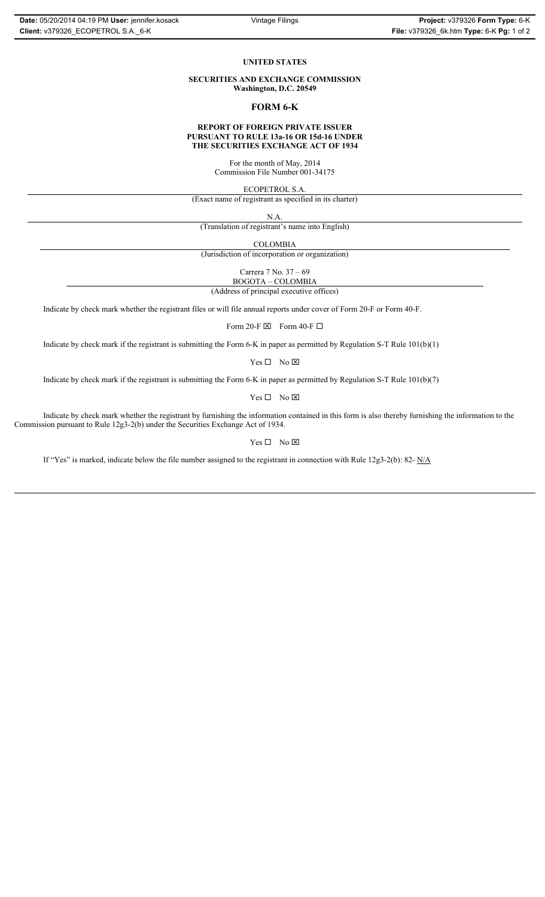#### **UNITED STATES**

**SECURITIES AND EXCHANGE COMMISSION Washington, D.C. 20549**

### **FORM 6-K**

#### **REPORT OF FOREIGN PRIVATE ISSUER PURSUANT TO RULE 13a-16 OR 15d-16 UNDER THE SECURITIES EXCHANGE ACT OF 1934**

For the month of May, 2014 Commission File Number 001-34175

ECOPETROL S.A.

(Exact name of registrant as specified in its charter)

N.A.

(Translation of registrant's name into English)

COLOMBIA

(Jurisdiction of incorporation or organization)

Carrera 7 No. 37 – 69

BOGOTA – COLOMBIA

(Address of principal executive offices)

Indicate by check mark whether the registrant files or will file annual reports under cover of Form 20-F or Form 40-F.

Form 20-F  $\boxtimes$  Form 40-F  $\Box$ 

Indicate by check mark if the registrant is submitting the Form 6-K in paper as permitted by Regulation S-T Rule 101(b)(1)

 $Yes \Box No \boxtimes$ 

Indicate by check mark if the registrant is submitting the Form 6-K in paper as permitted by Regulation S-T Rule 101(b)(7)

 $Yes \Box No \boxtimes$ 

Indicate by check mark whether the registrant by furnishing the information contained in this form is also thereby furnishing the information to the Commission pursuant to Rule 12g3-2(b) under the Securities Exchange Act of 1934.

 $Yes \Box No \boxtimes$ 

If "Yes" is marked, indicate below the file number assigned to the registrant in connection with Rule 12g3-2(b): 82-  $N/A$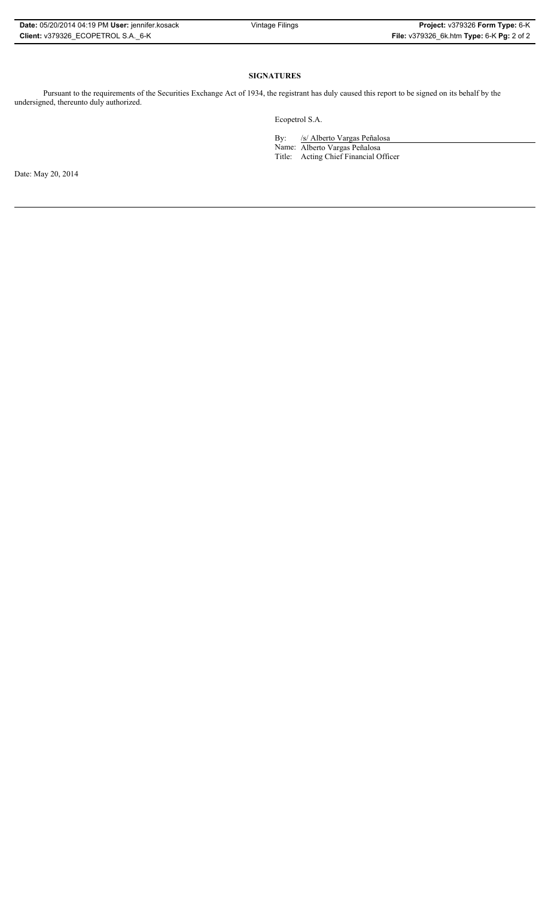**Date:** 05/20/2014 04:19 PM **User:** jennifer.kosack Vintage Filings **Project:** v379326 **Form Type:** 6-K **Client:** v379326\_ECOPETROL S.A.\_6-K **File:** v379326\_6k.htm **Type:** 6-K **Pg:** 2 of 2

## **SIGNATURES**

Pursuant to the requirements of the Securities Exchange Act of 1934, the registrant has duly caused this report to be signed on its behalf by the undersigned, thereunto duly authorized.

Ecopetrol S.A.

By: /s/ Alberto Vargas Peñalosa Name: Alberto Vargas Peñalosa Title: Acting Chief Financial Officer

Date: May 20, 2014